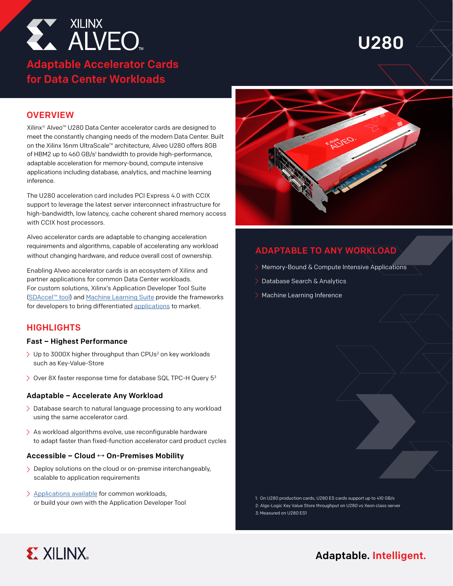

# Adaptable Accelerator Cards for Data Center Workloads

# U280

# **OVERVIEW**

Xilinx® Alveo™ U280 Data Center accelerator cards are designed to meet the constantly changing needs of the modern Data Center. Built on the Xilinx 16nm UltraScale™ architecture, Alveo U280 offers 8GB of HBM2 up to 460 GB/s<sup>1</sup> bandwidth to provide high-performance, adaptable acceleration for memory-bound, compute intensive applications including database, analytics, and machine learning inference.

The U280 acceleration card includes PCI Express 4.0 with CCIX support to leverage the latest server interconnect infrastructure for high-bandwidth, low latency, cache coherent shared memory access with CCIX host processors.

Alveo accelerator cards are adaptable to changing acceleration requirements and algorithms, capable of accelerating any workload without changing hardware, and reduce overall cost of ownership.

Enabling Alveo accelerator cards is an ecosystem of Xilinx and partner applications for common Data Center workloads. For custom solutions, Xilinx's Application Developer Tool Suite [\(SDAccel](https://www.xilinx.com/products/design-tools/software-zone/sdaccel.html)™ tool) and [Machine Learning Suite](https://www.xilinx.com/applications/megatrends/machine-learning.html) provide the frameworks for developers to bring differentiated [applications](https://www.xilinx.com/products/acceleration-solutions.html) to market.

## **HIGHLIGHTS**

#### Fast – Highest Performance

- > Up to 3000X higher throughput than CPUs<sup>2</sup> on key workloads such as Key-Value-Store
- $\geq$  Over 8X faster response time for database SQL TPC-H Query 5<sup>3</sup>

#### Adaptable – Accelerate Any Workload

- > Database search to natural language processing to any workload using the same accelerator card.
- $\geq$  As workload algorithms evolve, use reconfigurable hardware to adapt faster than fixed-function accelerator card product cycles

### Accessible – Cloud **↔** On-Premises Mobility

- > Deploy solutions on the cloud or on-premise interchangeably, scalable to application requirements
- [Applications available](https://www.xilinx.com/products/acceleration-solutions.html) for common workloads, or build your own with the A[pplication Developer Tool](https://www.xilinx.com/products/design-tools/software-zone/sdaccel.html)



# ADAPTABLE TO ANY WORKLOAD

- Memory-Bound & Compute Intensive Applications
- Database Search & Analytics
- > Machine Learning Inference

1: On U280 production cards, U280 ES cards support up to 410 GB/s 2: Algo-Logic Key Value Store throughput on U280 vs Xeon class server 3: Measured on U280 ES1



# Adaptable. Intelligent.